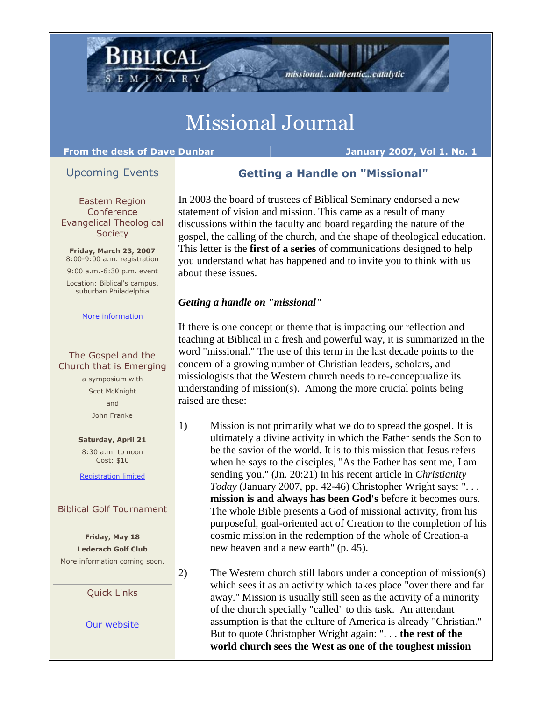## Missional Journal

#### **From the desk of Dave Dunbar January 2007, Vol 1. No. 1**

**BLICAL** 

#### Upcoming Events

### **Getting a Handle on "Missional"**

missional...authentic...catalytic

Eastern Region **Conference** Evangelical Theological **Society** 

**Friday, March 23, 2007** 8:00-9:00 a.m. registration

9:00 a.m.-6:30 p.m. event Location: Biblical's campus, suburban Philadelphia

#### [More information](http://r20.rs6.net/tn.jsp?llr=fgnv77bab&et=1101567638778&s=0&e=001OAkeXWknoG468-yfAaaOjQ0-Dpjr7b8y306PAv8VSdhzA_QQqUk8cb2mMBIyI3JySKqJ3gvzTLJVJ3p1Z0a_aXCjNJGsdaXlUkDYmDjAnb8IF8VQOjDTj1iS7c6Kt94EqBFYQJsWLUa6sE7PygdKWIN0pFUSImTkxkmamHfgFKE=)

#### The Gospel and the Church that is Emerging

a symposium with Scot McKnight and John Franke

**Saturday, April 21** 

8:30 a.m. to noon Cost: \$10

[Registration limited](http://r20.rs6.net/tn.jsp?llr=fgnv77bab&et=1101567638778&s=0&e=001OAkeXWknoG468-yfAaaOjQ0-Dpjr7b8y306PAv8VSdhzA_QQqUk8cb2mMBIyI3JySKqJ3gvzTLJVJ3p1Z0a_adNw22BdAL_V3GUD3N3pXdrxuKyxV8IQQxxlXX5CRx-_)

#### Biblical Golf Tournament

**Friday, May 18 Lederach Golf Club** More information coming soon.

Quick Links

[Our website](http://r20.rs6.net/tn.jsp?llr=fgnv77bab&et=1101567638778&s=0&e=001OAkeXWknoG468-yfAaaOjQ0-Dpjr7b8y306PAv8VSdhzA_QQqUk8cb2mMBIyI3JySKqJ3gvzTLJVJ3p1Z0a_aXCjNJGsdaXlUkDYmDjAnb8qOXhyBwtFdruvIq1NIwm_)

In 2003 the board of trustees of Biblical Seminary endorsed a new statement of vision and mission. This came as a result of many discussions within the faculty and board regarding the nature of the gospel, the calling of the church, and the shape of theological education. This letter is the **first of a series** of communications designed to help you understand what has happened and to invite you to think with us about these issues.

#### *Getting a handle on "missional"*

If there is one concept or theme that is impacting our reflection and teaching at Biblical in a fresh and powerful way, it is summarized in the word "missional." The use of this term in the last decade points to the concern of a growing number of Christian leaders, scholars, and missiologists that the Western church needs to re-conceptualize its understanding of mission(s). Among the more crucial points being raised are these:

1) Mission is not primarily what we do to spread the gospel. It is ultimately a divine activity in which the Father sends the Son to be the savior of the world. It is to this mission that Jesus refers when he says to the disciples, "As the Father has sent me, I am sending you." (Jn. 20:21) In his recent article in *Christianity Today* (January 2007, pp. 42-46) Christopher Wright says: ". . . **mission is and always has been God's** before it becomes ours. The whole Bible presents a God of missional activity, from his purposeful, goal-oriented act of Creation to the completion of his cosmic mission in the redemption of the whole of Creation-a new heaven and a new earth" (p. 45).

2) The Western church still labors under a conception of mission(s) which sees it as an activity which takes place "over there and far away." Mission is usually still seen as the activity of a minority of the church specially "called" to this task. An attendant assumption is that the culture of America is already "Christian." But to quote Christopher Wright again: ". . . **the rest of the world church sees the West as one of the toughest mission**